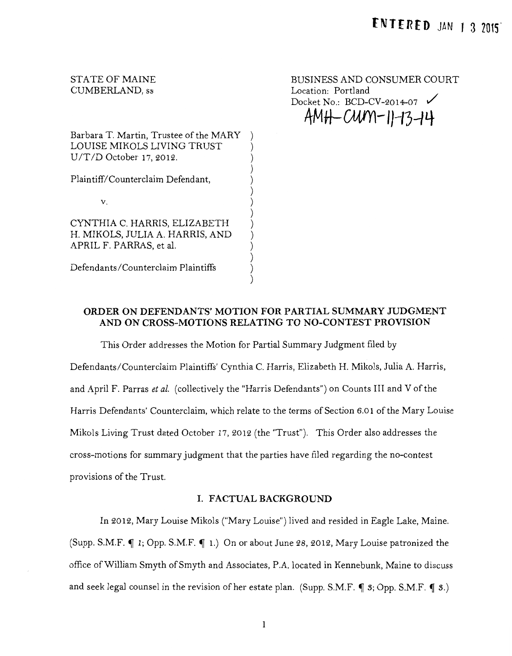# STATE OF MAINE CUMBERLAND, ss

BUSINESS AND CONSUMER COURT Location: Portland Docket No.: BCD-CV-2014-07 **4MJt-GW'Yl-IJ--13-1 4-**

Barbara T. Martin, Trustee of the MARY ) LOUISE MIKOLS LIVING TRUST U/T/D October 17,2012.

Plaintiff/Counterclaim Defendant,

V.

CYNTHIA C. HARRIS, ELIZABETH H. MIKOLS, JULIA A. HARRIS, AND APRIL F. PARRAS, et al.

Defendants/Counterclaim Plaintiffs

# **ORDER ON DEFENDANTS' MOTION FOR PARTIAL SUMMARY JUDGMENT AND ON CROSS-MOTIONS RELATING TO NO-CONTEST PROVISION**

) ) ) ) ) ) ) ) ) ) ) )

This Order addresses the Motion for Partial Summary Judgment filed by Defendants/Counterclaim Plaintiffs' Cynthia C. Harris, Elizabeth H. Mikols, Julia A. Harris, and April F. Parras *et al.* (collectively the "Harris Defendants") on Counts III and V of the Harris Defendants' Counterclaim, which relate to the terms of Section 6.01 ofthe Mary Louise Mikols Living Trust dated October 17, 2012 (the "Trust"). This Order also addresses the cross-motions for summary judgment that the parties have filed regarding the no-contest provisions of the Trust.

### **I. FACTUAL BACKGROUND**

In 2012, Mary Louise Mikols ("Mary Louise") lived and resided in Eagle Lake, Maine. (Supp. S.M.F.  $\P$  1; Opp. S.M.F.  $\P$  1.) On or about June 28, 2012, Mary Louise patronized the office of William Smyth of Smyth and Associates, P.A. located in Kennebunk, Maine to discuss and seek legal counsel in the revision of her estate plan. (Supp. S.M.F.  $\P 3$ ; Opp. S.M.F.  $\P 3$ .)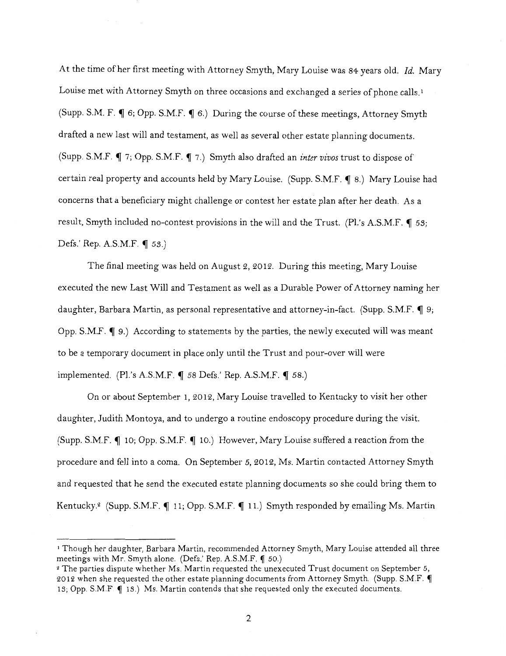At the time of her first meeting with Attorney Smyth, Mary Louise was 84 years old. *Id.* Mary Louise met with Attorney Smyth on three occasions and exchanged a series of phone calls.<sup>1</sup> (Supp. S.M. F.  $\P$  6; Opp. S.M.F.  $\P$  6.) During the course of these meetings, Attorney Smyth drafted a new last will and testament, as well as several other estate planning documents. (Supp. S.M.F.  $\P$  7; Opp. S.M.F.  $\P$  7.) Smyth also drafted an *inter vivos* trust to dispose of certain real property and accounts held by Mary Louise. (Supp. S.M.F. **[ 8.)** Mary Louise had concerns that a beneficiary might challenge or contest her estate plan after her death. As a result, Smyth included no-contest provisions in the will and the Trust. (Pl.'s A.S.M.F. **[** 53; Defs.' Rep. A.S.M.F. **tJ** 55.)

The final meeting was held on August 2, 2012. During this meeting, Mary Louise executed the new Last Will and Testament as well as a Durable Power of Attorney naming her daughter, Barbara Martin, as personal representative and attorney-in-fact. (Supp. S.M.F.  $\P$  9; Opp. S.M.F.  $\P$  9.) According to statements by the parties, the newly executed will was meant to be a temporary document in place only until the Trust and pour-over will were implemented. (Pl.'s A.S.M.F. 1 58 Defs.' Rep. A.S.M.F. 1 58.)

On or about September 1, 2012, Mary Louise travelled to Kentucky to visit her other daughter, Judith Montoya, and to undergo a routine endoscopy procedure during the visit. (Supp. S.M.F. 10; Opp. S.M.F. 10.) However, Mary Louise suffered a reaction from the procedure and fell into a coma. On September 5, 2012, Ms. Martin contacted Attorney Smyth and requested that he send the executed estate planning documents so she could bring them to Kentucky.<sup>2</sup> (Supp. S.M.F. 11; Opp. S.M.F. 11.) Smyth responded by emailing Ms. Martin

<sup>1</sup> Though her daughter, Barbara Martin, recommended Attorney Smyth, Mary Louise attended all three meetings with Mr. Smyth alone. (Defs.' Rep. A.S.M.F. ( 50.)

<sup>&</sup>lt;sup>2</sup> The parties dispute whether Ms. Martin requested the unexecuted Trust document on September 5, 2012 when she requested the other estate planning documents from Attorney Smyth. (Supp. S.M.F.  $\P$ 13; Opp. S.M.F.  $\P$  13.) Ms. Martin contends that she requested only the executed documents.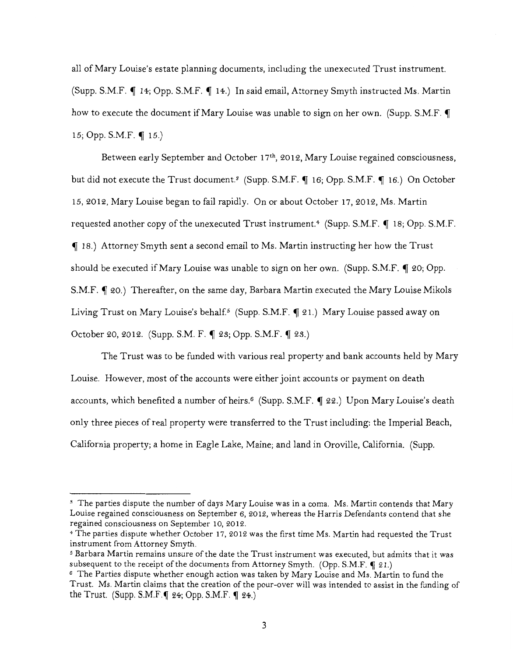all of Mary Louise's estate planning documents, including the unexecuted Trust instrument. (Supp. S.M.F.  $\P$  14; Opp. S.M.F.  $\P$  14.) In said email, Attorney Smyth instructed Ms. Martin how to execute the document if Mary Louise was unable to sign on her own. (Supp. S.M.F.  $\P$ 15; Opp. S.M.F.  $\P$  15.)

Between early September and October 17<sup>th</sup>, 2012, Mary Louise regained consciousness, but did not execute the Trust document.<sup>3</sup> (Supp. S.M.F. ¶ 16; Opp. S.M.F. ¶ 16.) On October 15, 2012, Mary Louise began to fail rapidly. On or about October 17, 2012, Ms. Martin requested another copy of the unexecuted Trust instrument.<sup>4</sup> (Supp. S.M.F.  $\P$  18; Opp. S.M.F. <sup>~</sup>18.) Attorney Smyth sent a second email to Ms. Martin instructing her how the Trust should be executed if Mary Louise was unable to sign on her own. (Supp. S.M.F.  $\P$  20; Opp. S.M.F.  $\P$  20.) Thereafter, on the same day, Barbara Martin executed the Mary Louise Mikols Living Trust on Mary Louise's behalf.<sup>5</sup> (Supp. S.M.F.  $\P$  21.) Mary Louise passed away on October 20, 2012. (Supp. S.M. F. ¶ 23; Opp. S.M.F. ¶ 23.)

The Trust was to be funded with various real property and bank accounts held by Mary Louise. However, most of the accounts were either joint accounts or payment on death accounts, which benefited a number of heirs.<sup>6</sup> (Supp. S.M.F.  $\P$  22.) Upon Mary Louise's death only three pieces of real property were transferred to the Trust including: the Imperial Beach, California property; a home in Eagle Lake, Maine; and land in Oroville, California. (Supp.

<sup>.</sup> ~ The parties dispute the number of days Mary Louise was in a coma. Ms. Martin contends that Mary Louise regained consciousness on September 6, 2012, whereas the Harris Defendants contend that she regained consciousness on September 10, 2012.

<sup>·</sup>J· The parties dispute whether October 17, 2012 was the first time Ms. Martin had requested the Trust instrument from Attorney Smyth.

*<sup>5</sup>*Barbara Martin remains unsure of the date the Trust instrument was executed, but admits that it was subsequent to the receipt of the documents from Attorney Smyth. (Opp. S.M.F.  $\P$  21.)

<sup>&</sup>lt;sup>6</sup> The Parties dispute whether enough action was taken by Mary Louise and Ms. Martin to fund the Trust. Ms. Martin claims that the creation of the pour-over will was intended to assist in the funding of the Trust. (Supp. S.M.F.  $\llbracket$  24; Opp. S.M.F.  $\llbracket$  24.)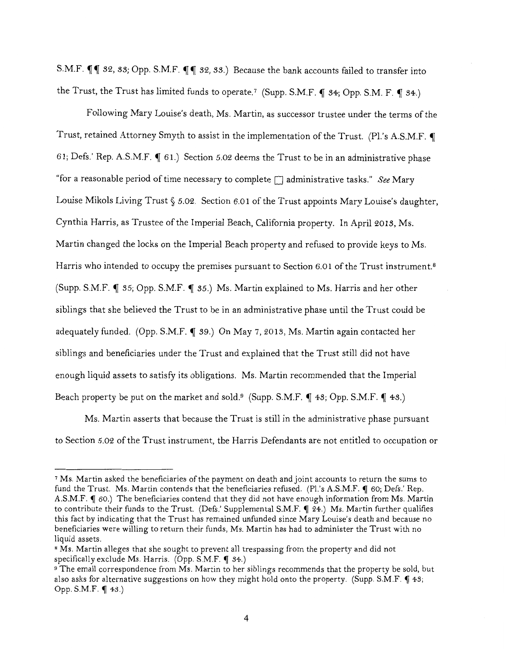S.M.F.  $\P\P$  32, 33; Opp. S.M.F.  $\P\P$  32, 33.) Because the bank accounts failed to transfer into the Trust, the Trust has limited funds to operate.<sup>7</sup> (Supp. S.M.F.  $\P$  34; Opp. S.M. F.  $\P$  34.)

Following Mary Louise's death, Ms. Martin, as successor trustee under the terms of the Trust, retained Attorney Smyth to assist in the implementation of the Trust. (Pl.'s A.S.M.F.  $\P$ 61; Defs.' Rep. A.S.M.F.  $\P$  61.) Section 5.02 deems the Trust to be in an administrative phase "for a reasonable period of time necessary to complete [] administrative tasks." *See* Mary Louise Mikols Living Trust § 5.02. Section 6.01 of the Trust appoints Mary Louise's daughter, Cynthia Harris, as Trustee of the Imperial Beach, California property. In April 2013, Ms. Martin changed the locks on the Imperial Beach property and refused to provide keys to Ms. Harris who intended to occupy the premises pursuant to Section 6.01 of the Trust instrument.<sup>8</sup> (Supp. S.M.F.  $\P$  35; Opp. S.M.F.  $\P$  35.) Ms. Martin explained to Ms. Harris and her other siblings that she believed the Trust to be in an administrative phase until the Trust could be adequately funded. (Opp. S.M.F. ¶ 39.) On May 7, 2013, Ms. Martin again contacted her siblings and beneficiaries under the Trust and explained that the Trust still did not have enough liquid assets to satisfy its obligations. Ms. Martin recommended that the Imperial Beach property be put on the market and sold.<sup>9</sup> (Supp. S.M.F.  $\P$  43; Opp. S.M.F.  $\P$  43.)

Ms. Martin asserts that because the Trust is still in the administrative phase pursuant to Section 5.02 of the Trust instrument, the Harris Defendants are not entitled to occupation or

<sup>7</sup>Ms. Martin asked the beneficiaries of the payment on death and joint accounts to return the sums to fund the Trust. Ms. Martin contends that the beneficiaries refused. (Pl.'s A.S.M.F.  $\P$  60; Defs.' Rep. A.S.M.F.  $\blacksquare$  60.) The beneficiaries contend that they did not have enough information from Ms. Martin to contribute their funds to the Trust. (Defs.' Supplemental S.M.F.  $\P$  24.) Ms. Martin further qualifies this fact by indicating that the Trust has remained unfunded since Mary Louise's death and because no beneficiaries were willing to return their funds, Ms. Martin has had to administer the Trust with no liquid assets.<br>8 Ms. Martin alleges that she sought to prevent all trespassing from the property and did not

specifically exclude Ms. Harris. (Opp. S.M.F.  $\P$  34.)

 $9$  The email correspondence from Ms. Martin to her siblings recommends that the property be sold, but also asks for alternative suggestions on how they might hold onto the property. (Supp. S.M.F.  $\P$  43; Opp. S.M.F.  $\P$  43.)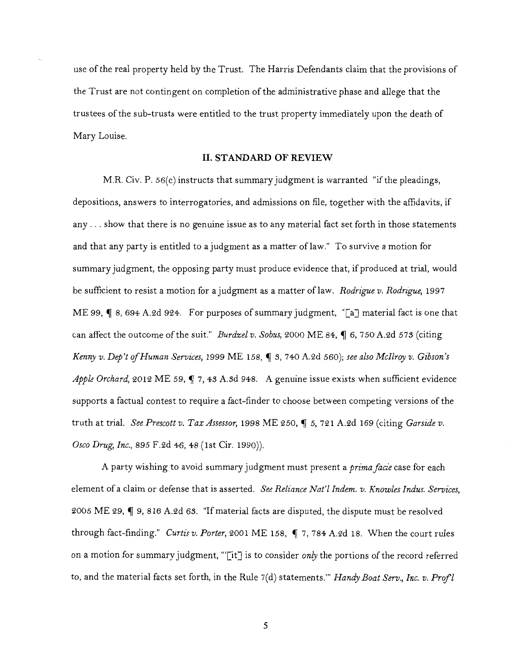use of the real property held by the Trust. The Harris Defendants claim that the provisions of the Trust are not contingent on completion of the administrative phase and allege that the trustees of the sub-trusts were entitled to the trust property immediately upon the death of Mary Louise.

#### **II. STANDARD OF REVIEW**

M.R. Civ.  $P. 56(c)$  instructs that summary judgment is warranted "if the pleadings, depositions, answers to interrogatories, and admissions on file, together with the affidavits, if any ... show that there is no genuine issue as to any material fact set forth in those statements and that any party is entitled to a judgment as a matter of law." To survive a motion for summary judgment, the opposing party must produce evidence that, if produced at trial, would be sufficient to resist a motion for a judgment as a matter oflaw. *Rodrigue v. Rodrigue,* 1997 ME 99,  $\parallel$  8, 694 A.2d 924. For purposes of summary judgment, "[a] material fact is one that can affect the outcome of the suit." *Burdzel v. Sobus,* 2000 ME 84, ¶ 6, 750 A.2d 573 (citing *Kenny v. Dep't of Human Services, 1999 ME 158,*  $\bigcirc$  *3, 740 A.2d 560); see also McIlroy v. Gibson's Apple Orchard,* 2012 ME 59, 1 7, 43 A.3d 948. A genuine issue exists when sufficient evidence supports a factual contest to require a fact-finder to choose between competing versions of the truth at trial. *See Prescott v. Tax Assessor,* 1998 ME 250, ~ 5, 721 A.2d 169 (citing *Garside v. Osco Drug, Inc.,* 895 F.2d 46, 48 (1st Cir. 1990)).

A party wishing to avoid summary judgment must present a *prima facie* case for each element of a claim or defense that is asserted. *See Reliance Nat'! Indem. v. Knowles Indus. Services,*  2005 ME 29,  $\P$  9, 816 A.2d 63. "If material facts are disputed, the dispute must be resolved through fact-finding." *Curtis v. Porter*, 2001 ME 158, ¶ 7, 784 A.2d 18. When the court rules on a motion for summary judgment, '"[it] is to consider *onry* the portions of the record referred to, and the material facts set forth, in the Rule 7(d) statements."' *Handy Boat Serv., Inc. v. Prof!*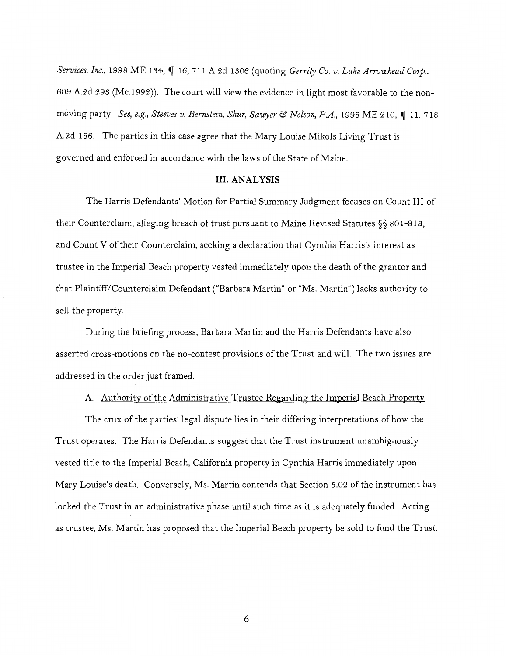*Services, Inc., 1998 ME 134, 16, 711 A.2d 1306 (quoting Gerrity Co. v. Lake Arrowhead Corp.,* 609 A.2d 293 (Me.1992)). The court will view the evidence in light most favorable to the nonmoving party. See, e.g., Steeves v. Bernstein, Shur, Sawyer & Nelson, P.A., 1998 ME 210, 11, 718 A.2d 186. The parties in this case agree that the Mary Louise Mikols Living Trust is governed and enforced in accordance with the laws of the State of Maine.

### **III. ANALYSIS**

The Harris Defendants' Motion for Partial Summary Judgment focuses on Count III of their Counterclaim, alleging breach of trust pursuant to Maine Revised Statutes§§ 801-813, and Count V of their Counterclaim, seeking a declaration that Cynthia Harris's interest as trustee in the Imperial Beach property vested immediately upon the death of the grantor and that Plaintiff/Counterclaim Defendant ("Barbara Martin" or "Ms. Martin") lacks authority to sell the property.

During the briefing process, Barbara Martin and the Harris Defendants have also asserted cross-motions on the no-contest provisions of the Trust and will. The two issues are addressed in the order just framed.

### A. Authority of the Administrative Trustee Regarding the Imperial Beach Property

The crux of the parties' legal dispute lies in their differing interpretations of how the Trust operates. The Harris Defendants suggest that the Trust instrument unambiguously vested title to the Imperial Beach, California property in Cynthia Harris immediately upon Mary Louise's death. Conversely, Ms. Martin contends that Section 5.02 of the instrument has locked the Trust in an administrative phase until such time as it is adequately funded. Acting as trustee, Ms. Martin has proposed that the Imperial Beach property be sold to fund the Trust.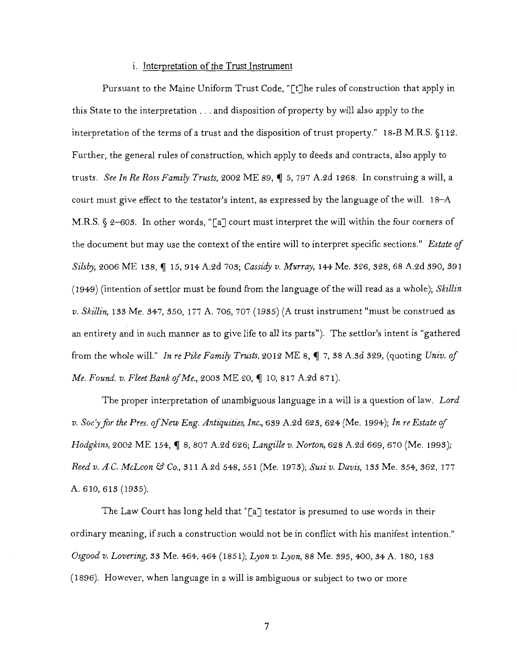### i. Interpretation of the Trust Instrument

Pursuant to the Maine Uniform Trust Code, "[t]he rules of construction that apply in this State to the interpretation ... and disposition of property by will also apply to the interpretation of the terms of a trust and the disposition of trust property." 18-B M.R.S. §112. Further, the general rules of construction, which apply to deeds and contracts, also apply to trusts. See In Re Ross Family Trusts, 2002 ME 89, 1 5, 797 A.2d 1268. In construing a will, a court must give effect to the testator's intent, as expressed by the language of the will. I8-A M.R.S. § 2-605. In other words, "[a] court must interpret the will within the four corners of the document but may use the context of the entire will to interpret specific sections." *Estate of Silsby,* 2006 ME 138, ~ 15, 914 A.2d 70S; *Cassidy v. Murray,* 144 Me. S26, 328, 68 A.2d S90, S91 (1949) (intention of settlor must be found from the language ofthe will read as a whole); *Skillin v. Skillin,* ISS Me. 347, S50, I77 A. 706, 707 (1935) (A trust instrument "must be construed as an entirety and in such manner as to give life to all its parts"). The settlor's intent is "gathered from the whole will." In re Pike Family Trusts, 2012 ME 8,  $\P$  7, 38 A.sd 329, (quoting *Univ. of Me. Found. v. Fleet Bank of Me., 2003 ME 20, 10, 817 A.2d 871).* 

The proper interpretation of unambiguous language in a will is a question of law. Lord *v. Soc'yjor the Pres. ojNew Eng. Antiquities, Inc.,* 6S9 A.2d 623, 624 (Me. 1994); *In re Estate of Hodgkins, 2002 ME 154, 1 8, 807 A.2d 626; Langille v. Norton, 628 A.2d 669, 670 (Me. 1993); Reed v. A.C. McLoon* & *Co.,* SII A.2d 548, 551 (Me. I97S); *Susi v. Davis,* ISS Me. S54, S62, 177 A. 610, 613 (19S5).

The Law Court has long held that "[a] testator is presumed to use words in their ordinary meaning, if such a construction would not be in conflict with his manifest intention." *Osgood v. Lovering,* SS Me. 464,464 (185I); *Lyon v. Lyon,* 88 Me. S95, 400, S4 A. 180, 18S (1896). However, when language in a will is ambiguous or subject to two or more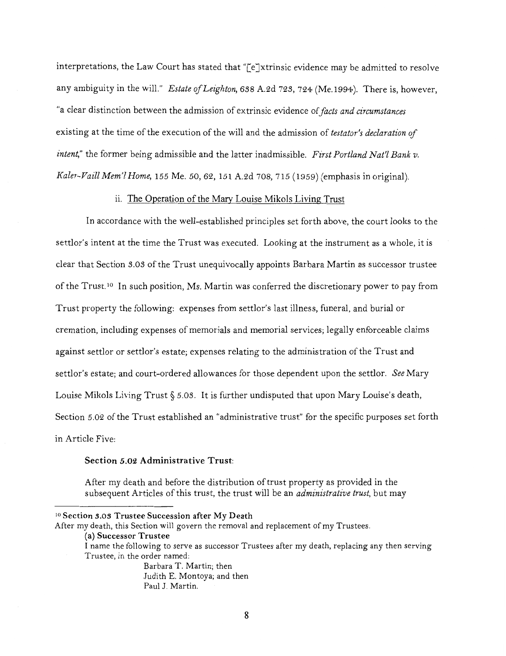interpretations, the Law Court has stated that "[e]xtrinsic evidence may be admitted to resolve any ambiguity in the will." *Estate of Leighton*, 638 A.2d 723, 724 (Me.1994). There is, however, "a clear distinction between the admission of extrinsic evidence of *facts and circumstances*  existing at the time of the execution of the will and the admission of *testator's declaration of intent,"* the former being admissible and the latter inadmissible. *First Portland Nat'l Bank v. Kaler-Vaill Mem'l Home, 155* Me. *50,* 62, 151 A.2d 708, 715 (1959) (emphasis in original).

### ii. The Operation of the Mary Louise Mikols Living Trust

In accordance with the well-established principles set forth above, the court looks to the settlor's intent at the time the Trust was executed. Looking at the instrument as a whole, it is clear that Section *S.OS* of the Trust unequivocally appoints Barbara Martin as successor trustee of the Trust.<sup>10</sup> In such position, Ms. Martin was conferred the discretionary power to pay from Trust property the following: expenses from settlor's last illness, funeral, and burial or cremation, including expenses of memorials and memorial services; legally enforceable claims against settlor or settlor's estate; expenses relating to the administration of the Trust and settlor's estate; and court-ordered allowances for those dependent upon the settlor. *See* Mary Louise Mikols Living Trust§ *5.0S.* It is further undisputed that upon Mary Louise's death, Section *5.02* of the Trust established an "administrative trust" for the specific purposes set forth in Article Five:

# Section 5.02 Administrative Trust:

After my death and before the distribution of trust property as provided in the subsequent Articles of this trust, the trust will be an *administrative trust,* but may

After my death, this Section will govern the removal and replacement of my Trustees.

Barbara T. Martin; then Judith E. Montoya; and then Paul J. Martin.

<sup>10</sup> Section *3.03* Trustee Succession after My Death

<sup>(</sup>a) Successor Trustee

I name the following to serve as successor Trustees after my death, replacing any then serving Trustee, in the order named: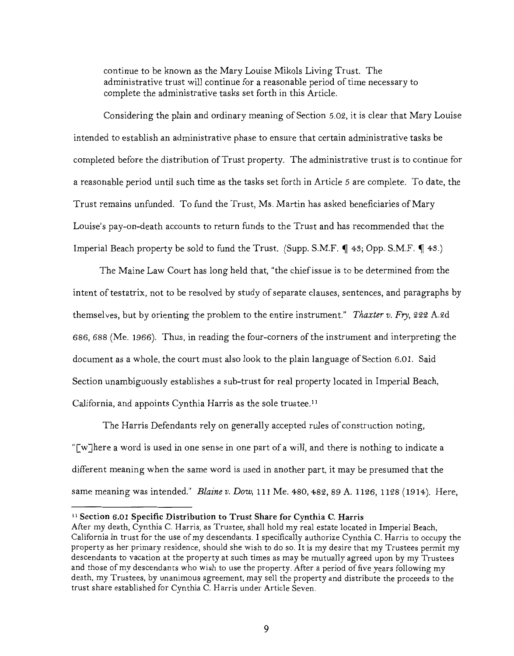continue to be known as the Mary Louise Mikols Living Trust. The administrative trust will continue for a reasonable period of time necessary to complete the administrative tasks set forth in this Article.

Considering the plain and ordinary meaning of Section 5.02, it is clear that Mary Louise intended to establish an administrative phase to ensure that certain administrative tasks be completed before the distribution ofTrust property. The administrative trust is to continue for a reasonable period until such time as the tasks set forth in Article 5 are complete. To date, the Trust remains unfunded. To fund the Trust, Ms. Martin has asked beneficiaries of Mary Louise's pay-on-death accounts to return funds to the Trust and has recommended that the Imperial Beach property be sold to fund the Trust. (Supp. S.M.F.  $\P$  48; Opp. S.M.F.  $\P$  48.)

The Maine Law Court has long held that, "the chief issue is to be determined from the intent of testatrix, not to be resolved by study of separate clauses, sentences, and paragraphs by themselves, but by orienting the problem to the entire instrument." *Thaxter v. Fry,* 222 A.2d 686, 688 (Me. 1966). Thus, in reading the four-corners of the instrument and interpreting the document as a whole, the court must also look to the plain language of Section 6.01. Said Section unambiguously establishes a sub-trust for real property located in Imperial Beach, California, and appoints Cynthia Harris as the sole trustee. <sup>11</sup>

The Harris Defendants rely on generally accepted rules of construction noting, "[w]here a word is used in one sense in one part of a will, and there is nothing to indicate a different meaning when the same word is used in another part, it may be presumed that the same meaning was intended." *Blaine v. Dow,* 111 Me. 480, 482, 89 A. 1126, 1128 (1914). Here,

<sup>&</sup>lt;sup>11</sup> Section 6.01 Specific Distribution to Trust Share for Cynthia C. Harris

After my death, Cynthia C. Harris, as Trustee, shall hold my real estate located in Imperial Beach, California in trust for the use of my descendants. I specifically authorize Cynthia C. Harris to occupy the property as her primary residence, should she wish to do so. It is my desire that my Trustees permit my descendants to vacation at the property at such times as may be mutually agreed upon by my Trustees and those of my descendants who wish to use the property. After a period of five years following my death, my Trustees, by unanimous agreement, may sell the property and distribute the proceeds to the trust share established for Cynthia C. Harris under Article Seven.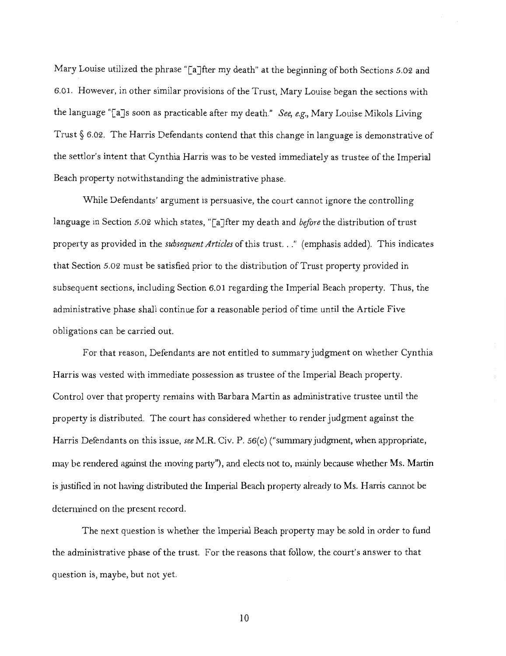Mary Louise utilized the phrase "[a]fter my death" at the beginning of both Sections 5.02 and 6.0 1. However, in other similar provisions of the Trust, Mary Louise began the sections with the language "[a]s soon as practicable after my death." *See, e.g.,* Mary Louise Mikols Living Trust§ 6.02. The Harris Defendants contend that this change in language is demonstrative of the settlor's intent that Cynthia Harris was to be vested immediately as trustee of the Imperial Beach property notwithstanding the administrative phase.

While Defendants' argument is persuasive, the court cannot ignore the controlling language in Section 5.02 which states, "[a]fter my death and *before* the distribution of trust property as provided in the *subsequent Articles* of this trust ... " (emphasis added). This indicates that Section 5.02 must be satisfied prior to the distribution of Trust property provided in subsequent sections, including Section 6.01 regarding the Imperial Beach property. Thus, the administrative phase shall continue for a reasonable period of time until the Article Five obligations can be carried out.

For that reason, Defendants are not entitled to summary judgment on whether Cynthia Harris was vested with immediate possession as trustee of the Imperial Beach property. Control over that property remains with Barbara Martin as administrative trustee until the property is distributed. The court has considered whether to render judgment against the Harris Defendants on this issue, *see* M.R. Civ. P. *56(* c) ("summary judgment, when appropriate, may be rendered against the moving party"), and elects not to, mainly because whether Ms. Martin is justified in not having distributed the Imperial Beach property already to Ms. Harris cannot be determined on the present record.

The next question is whether the Imperial Beach property may be sold in order to fund the administrative phase of the trust. For the reasons that follow, the court's answer to that question is, maybe, but not yet.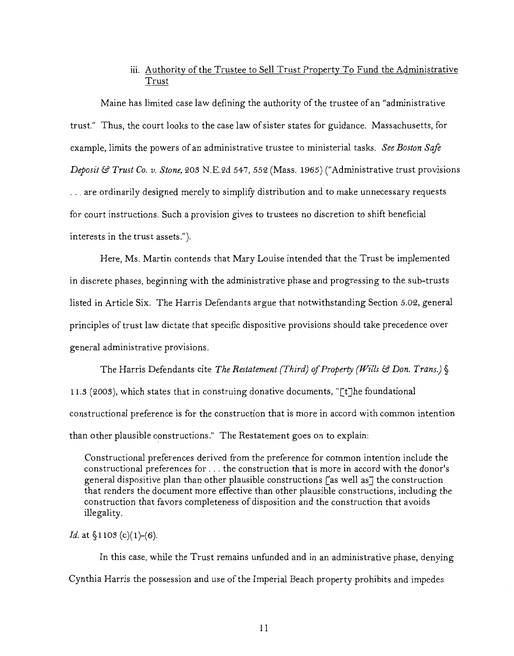# iii. Authority of the Trustee to Sell Trust Property To Fund the Administrative Trust

Maine has limited case law defining the authority of the trustee of an "administrative trust." Thus, the court looks to the case law of sister states for guidance. Massachusetts, for example, limits the powers of an administrative trustee to ministerial tasks. *See Boston Safe Deposit* & *Trust Co. v. Stone,* 203 N.E.2d 547, 552 (Mass. 1965) ("Administrative trust provisions ... are ordinarily designed merely to simplify distribution and to make unnecessary requests for court instructions. Such a provision gives to trustees no discretion to shift beneficial interests in the trust assets.").

Here, Ms. Martin contends that Mary Louise intended that the Trust be implemented in discrete phases, beginning with the administrative phase and progressing to the sub-trusts listed in Article Six. The Harris Defendants argue that notwithstanding Section 5.02, general principles of trust law dictate that specific dispositive provisions should take precedence over general administrative provisions.

The Harris Defendants cite *The Restatement (Third)* if *Property (Wills* & *Don. Trans.)§*  11.3 (2003), which states that in construing donative documents, "[t]he foundational constructional preference is for the construction that is more in accord with common intention than other plausible constructions." The Restatement goes on to explain:

Constructional preferences derived from the preference for common intention include the constructional preferences for ... the construction that is more in accord with the donor's general dispositive plan than other plausible constructions [as well as] the construction that renders the document more effective than other plausible constructions, including the construction that favors completeness of disposition and the construction that avoids illegality.

*Id.* at §1103 (c)(1)-(6).

In this case, while the Trust remains unfunded and in an administrative phase, denying Cynthia Harris the possession and use of the Imperial Beach property prohibits and impedes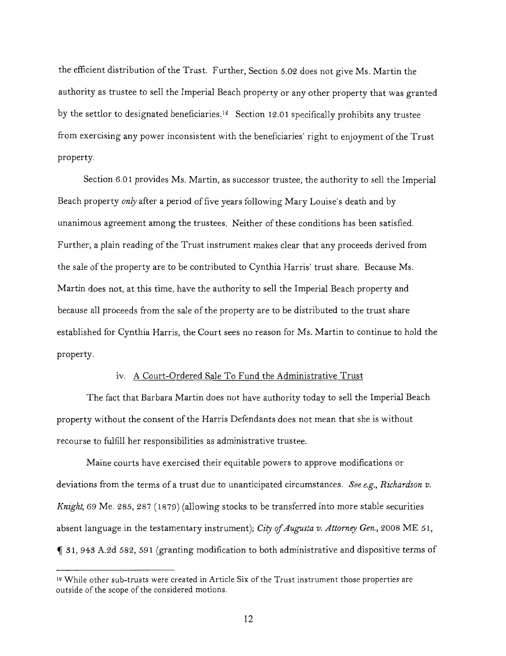the efficient distribution of the Trust. Further, Section 5.02 does not give Ms. Martin the authority as trustee to sell the Imperial Beach property or any other property that was granted by the settlor to designated beneficiaries.<sup>12</sup> Section 12.01 specifically prohibits any trustee from exercising any power inconsistent with the beneficiaries' right to enjoyment of the Trust property.

Section 6.01 provides Ms. Martin, as successor trustee, the authority to sell the Imperial Beach property *only* after a period of five years following Mary Louise's death and by unanimous agreement among the trustees. Neither of these conditions has been satisfied. Further, a plain reading of the Trust instrument makes clear that any proceeds derived from the sale of the property are to be contributed to Cynthia Harris' trust share. Because Ms. Martin does not, at this time, have the authority to sell the Imperial Beach property and because all proceeds from the sale of the property are to be distributed to the trust share established for Cynthia Harris, the Court sees no reason for Ms. Martin to continue to hold the property.

### iv. A Court-Ordered Sale To Fund the Administrative Trust

The fact that Barbara Martin does not have authority today to sell the Imperial Beach property without the consent of the Harris Defendants does not mean that she is without recourse to fulfill her responsibilities as administrative trustee.

Maine courts have exercised their equitable powers to approve modifications or deviations from the terms of a trust due to unanticipated circumstances. *See e.g., Richardson v. Knight,* 69 Me. 285, 287 (1879) (allowing stocks to be transferred into more stable securities absent language in the testamentary instrument); *City of Augusta v. Attorney Gen.,* 2008 ME 51,  $\llbracket$  31, 943 A.2d 582, 591 (granting modification to both administrative and dispositive terms of

<sup>12</sup> While other sub-trusts were created in Article Six of the Trust instrument those properties are outside of the scope of the considered motions.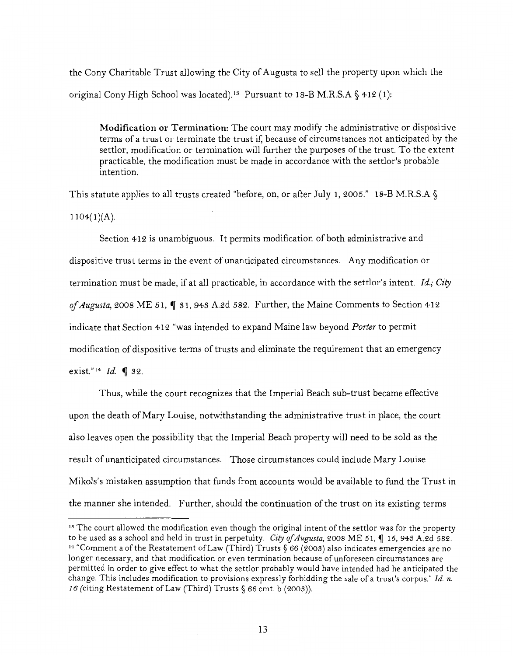the Cony Charitable Trust allowing the City of Augusta to sell the property upon which the original Cony High School was located).<sup>13</sup> Pursuant to 18-B M.R.S.A  $\S$  412 (1):

**Modification or Termination:** The court may modify the administrative or dispositive terms of a trust or terminate the trust if, because of circumstances not anticipated by the settlor, modification or termination will further the purposes of the trust. To the extent practicable, the modification must be made in accordance with the settlor's probable intention.

This statute applies to all trusts created "before, on, or after July 1, 2005." 18-B M.R.S.A §  $1104(1)(A)$ .

Section 412 is unambiguous. It permits modification of both administrative and dispositive trust terms in the event of unanticipated circumstances. Any modification or termination must be made, if at all practicable, in accordance with the settlor's intent. *!d.; City*  of *Augusta*, 2008 ME 51, 1 31, 943 A.2d 582. Further, the Maine Comments to Section 412 indicate that Section 412 "was intended to expand Maine law beyond *Porter* to permit modification of dispositive terms of trusts and eliminate the requirement that an emergency exist."<sup>14</sup> *Id.* • 32.

Thus, while the court recognizes that the Imperial Beach sub-trust became effective upon the death of Mary Louise, notwithstanding the administrative trust in place, the court also leaves open the possibility that the Imperial Beach property will need to be sold as the result of unanticipated circumstances. Those circumstances could include Mary Louise Mikols's mistaken assumption that funds from accounts would be available to fund the Trust in the manner she intended. Further, should the continuation of the trust on its existing terms

<sup>&</sup>lt;sup>15</sup> The court allowed the modification even though the original intent of the settlor was for the property to be used as a school and held in trust in perpetuity. *City of Augusta*, 2008 ME 51, 15,943 A.2d 582. <sup>14</sup> "Comment a of the Restatement of Law (Third) Trusts § 66 (2003) also indicates emergencies are no longer necessary, and that modification or even termination because of unforeseen circumstances are permitted in order to give effect to what the settlor probably would have intended had he anticipated the change. This includes modification to provisions expressly forbidding the sale of a trust's corpus." Id. n. 16 (citing Restatement of Law (Third) Trusts§ 66 cmt. b (2003)).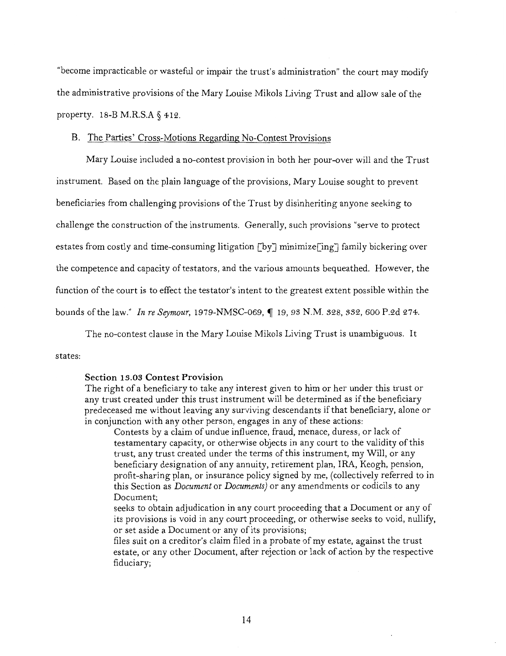"become impracticable or wasteful or impair the trust's administration" the court may modify the administrative provisions of the Mary Louise Mikols Living Trust and allow sale of the property. 18-B M.R.S.A § 412.

### B. The Parties' Cross-Motions Regarding No-Contest Provisions

Mary Louise included a no-contest provision in both her pour-over will and the Trust instrument. Based on the plain language of the provisions, Mary Louise sought to prevent beneficiaries from challenging provisions of the Trust by disinheriting anyone seeking to challenge the construction of the instruments. Generally, such provisions "serve to protect estates from costly and time-consuming litigation [by] minimize[ing] family bickering over the competence and capacity of testators, and the various amounts bequeathed. However, the function of the court is to effect the testator's intent to the greatest extent possible within the bounds of the law." *In re Seymour,* 1979-NMSC-069, ~ 19, *93* N.M. 328, 332, 600 P.2d 274.

The no-contest clause in the Mary Louise Mikols Living Trust is unambiguous. It

### states:

### **Section** 13.03 **Contest Provision**

The right of a beneficiary to take any interest given to him or her under this trust or any trust created under this trust instrument will be determined as if the beneficiary predeceased me without leaving any surviving descendants if that beneficiary, alone or in conjunction with any other person, engages in any of these actions:

Contests by a claim of undue influence, fraud, menace, duress, or lack of testamentary capacity, or otherwise objects in any court to the validity of this trust, any trust created under the terms of this instrument, my Will, or any beneficiary designation of any annuity, retirement plan, IRA, Keogh, pension, profit-sharing plan, or insurance policy signed by me, (collectively referred to in this Section as *Document* or *Documents)* or any amendments or codicils to any Document;

seeks to obtain adjudication in any court proceeding that a Document or any of its provisions is void in any court proceeding, or otherwise seeks to void, nullify, or set aside a Document or any of its provisions;

files suit on a creditor's claim filed in a probate of my estate, against the trust estate, or any other Document, after rejection or lack of action by the respective fiduciary;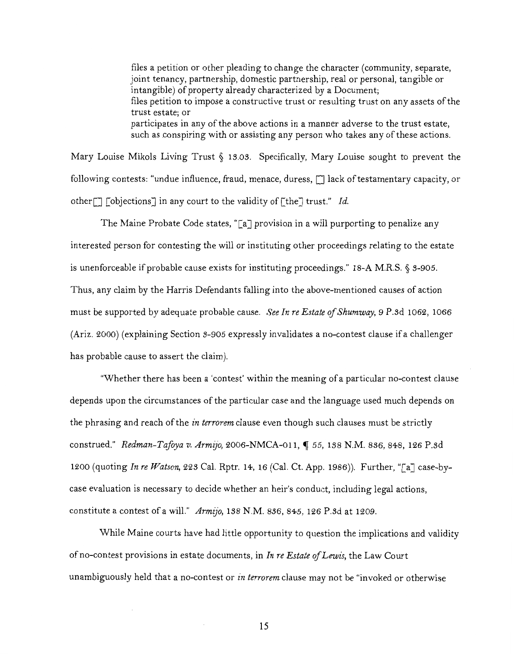files a petition or other pleading to change the character (community, separate, joint tenancy, partnership, domestic partnership, real or personal, tangible or intangible) of property already characterized by a Document; files petition to impose a constructive trust or resulting trust on any assets of the trust estate; or participates in any of the above actions in a manner adverse to the trust estate, such as conspiring with or assisting any person who takes any of these actions.

Mary Louise Mikols Living Trust § I3.0S. Specifically, Mary Louise sought to prevent the following contests: "undue influence, fraud, menace, duress,  $\Box$  lack of testamentary capacity, or other[] [objections] in any court to the validity of[the] trust." *Id.* 

The Maine Probate Code states, "[a] provision in a will purporting to penalize any interested person for contesting the will or instituting other proceedings relating to the estate is unenforceable if probable cause exists for instituting proceedings." 18-A M.R.S. § 3-905. Thus, any claim by the Harris Defendants falling into the above-mentioned causes of action must be supported by adequate probable cause. *See In re Estate of Shumway,* 9 P.sd I062, 1066 (Ariz. 2000) (explaining Section S-905 expressly invalidates a no-contest clause if a challenger has probable cause to assert the claim).

"Whether there has been a 'contest' within the meaning of a particular no-contest clause depends upon the circumstances of the particular case and the language used much depends on the phrasing and reach of the *in terrorem* clause even though such clauses must be strictly construed." *Redman-Tafoya v. Armijo,* 2006-NMCA-OII, ~ *55,* ISS N.M. S36, S4S, I26 P.3d I200 (quoting *In re Watson,* 22S Cal. Rptr. I4, I6 (Cal. Ct. App. I9S6)). Further, "[a] case-bycase evaluation is necessary to decide whether an heir's conduct, including legal actions, constitute a contest of a will." *Armijo,* ISS N.M. SS6, S45, I26 P.sd at I209.

While Maine courts have had little opportunity to question the implications and validity of no-contest provisions in estate documents, in *In re Estate ofLewis,* the Law Court unambiguously held that a no-contest or *in terrorem* clause may not be "invoked or otherwise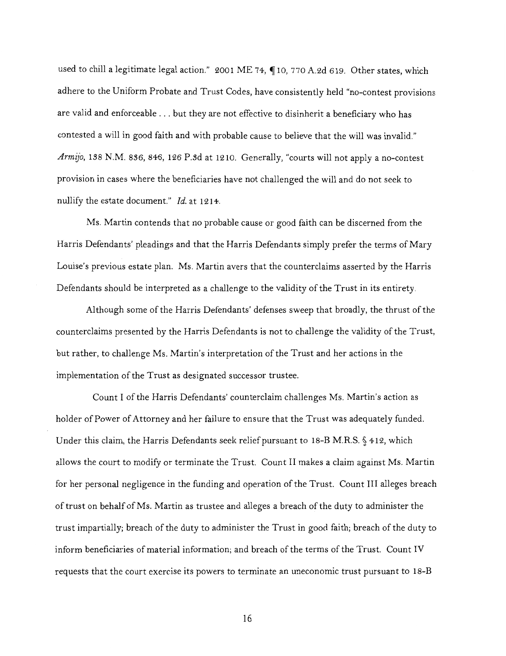used to chill a legitimate legal action." 2001 ME 74, ¶10, 770 A.2d 619. Other states, which adhere to the Uniform Probate and Trust Codes, have consistently held "no-contest provisions are valid and enforceable ... but they are not effective to disinherit a beneficiary who has contested a will in good faith and with probable cause to believe that the will was invalid." *Armijo,* 1S8 N.M. 8S6, 846, 126 P.sd at 1210. Generally, "courts will not apply a no-contest provision in cases where the beneficiaries have not challenged the will and do not seek to nullify the estate document." *Id.* at 1214.

Ms. Martin contends that no probable cause or good faith can be discerned from the Harris Defendants' pleadings and that the Harris Defendants simply prefer the terms of Mary Louise's previous estate plan. Ms. Martin avers that the counterclaims asserted by the Harris Defendants should be interpreted as a challenge to the validity of the Trust in its entirety.

Although some of the Harris Defendants' defenses sweep that broadly, the thrust of the counterclaims presented by the Harris Defendants is not to challenge the validity of the Trust, but rather, to challenge Ms. Martin's interpretation of the Trust and her actions in the implementation of the Trust as designated successor trustee.

Count I of the Harris Defendants' counterclaim challenges Ms. Martin's action as holder of Power of Attorney and her failure to ensure that the Trust was adequately funded. Under this claim, the Harris Defendants seek relief pursuant to 18-B M.R.S.  $\S$  412, which allows the court to modify or terminate the Trust. Count II makes a claim against Ms. Martin for her personal negligence in the funding and operation of the Trust. Count III alleges breach of trust on behalf of Ms. Martin as trustee and alleges a breach of the duty to administer the trust impartially; breach of the duty to administer the Trust in good faith; breach of the duty to inform beneficiaries of material information; and breach of the terms of the Trust. Count IV requests that the court exercise its powers to terminate an uneconomic trust pursuant to 18-B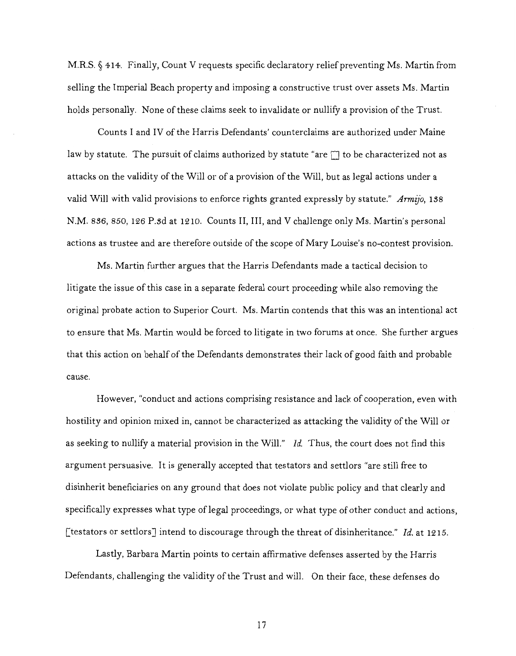M.R.S. § 414. Finally, Count V requests specific declaratory relief preventing Ms. Martin from selling the Imperial Beach property and imposing a constructive trust over assets Ms. Martin holds personally. None of these claims seek to invalidate or nullify a provision of the Trust.

Counts I and IV of the Harris Defendants' counterclaims are authorized under Maine law by statute. The pursuit of claims authorized by statute "are  $\Box$  to be characterized not as attacks on the validity of the Will or of a provision of the Will, but as legal actions under a valid Will with valid provisions to enforce rights granted expressly by statute." *Armijo,* 1.38 N.M. 836, 850, 126 P.3d at 1210. Counts II, III, and V challenge only Ms. Martin's personal actions as trustee and are therefore outside of the scope of Mary Louise's no-contest provision.

Ms. Martin further argues that the Harris Defendants made a tactical decision to litigate the issue of this case in a separate federal court proceeding while also removing the original probate action to Superior Court. Ms. Martin contends that this was an intentional act to ensure that Ms. Martin would be forced to litigate in two forums at once. She further argues that this action on behalf of the Defendants demonstrates their lack of good faith and probable cause.

However, "conduct and actions comprising resistance and lack of cooperation, even with hostility and opinion mixed in, cannot be characterized as attacking the validity of the Will or as seeking to nullify a material provision in the Will." *Id.* Thus, the court does not find this argument persuasive. It is generally accepted that testators and settlors "are still free to disinherit beneficiaries on any ground that does not violate public policy and that clearly and specifically expresses what type of legal proceedings, or what type of other conduct and actions, [testators or settlors] intend to discourage through the threat of disinheritance." *Id.* at 1215.

Lastly, Barbara Martin points to certain affirmative defenses asserted by the Harris Defendants, challenging the validity of the Trust and will. On their face, these defenses do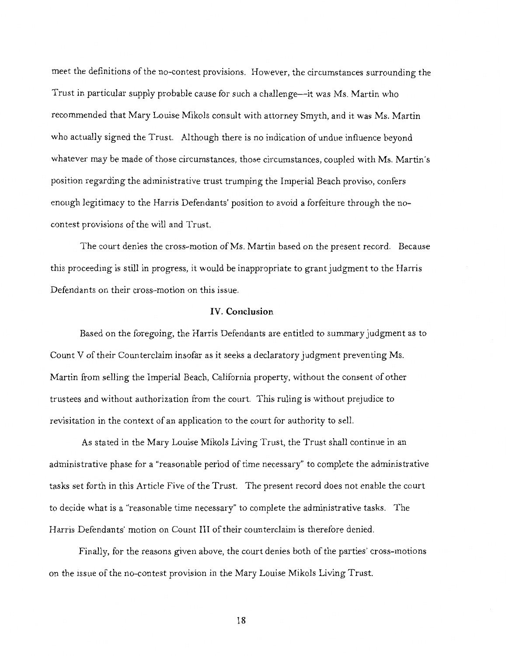meet the definitions of the no-contest provisions. However, the circumstances surrounding the Trust in particular supply probable cause for such a challenge--it was Ms. Martin who recommended that Mary Louise Mikols consult with attorney Smyth, and it was Ms. Martin who actually signed the Trust. Although there is no indication of undue influence beyond whatever may be made of those circumstances, those circumstances, coupled with Ms. Martin's position regarding the administrative trust trumping the Imperial Beach proviso, confers enough legitimacy to the Harris Defendants' position to avoid a forfeiture through the nocontest provisions of the will and Trust.

The court denies the cross-motion of Ms. Martin based on the present record. Because this proceeding is still in progress, it would be inappropriate to grant judgment to the Harris Defendants on their cross-motion on this issue.

## IV. **Conclusion**

Based on the foregoing, the Harris Defendants are entitled to summary judgment as to Count V of their Counterclaim insofar as it seeks a declaratory judgment preventing Ms. Martin from selling the Imperial Beach, California property, without the consent of other trustees and without authorization from the court. This ruling is without prejudice to revisitation in the context of an application to the court for authority to sell.

As stated in the Mary Louise Mikols Living Trust, the Trust shall continue in an administrative phase for a "reasonable period of time necessary" to complete the administrative tasks set forth in this Article Five of the Trust. The present record does not enable the court to decide what is a "reasonable time necessary" to complete the administrative tasks. The Harris Defendants' motion on Count III of their counterclaim is therefore denied.

Finally, for the reasons given above, the court denies both of the parties' cross-motions on the issue of the no-contest provision in the Mary Louise Mikols Living Trust.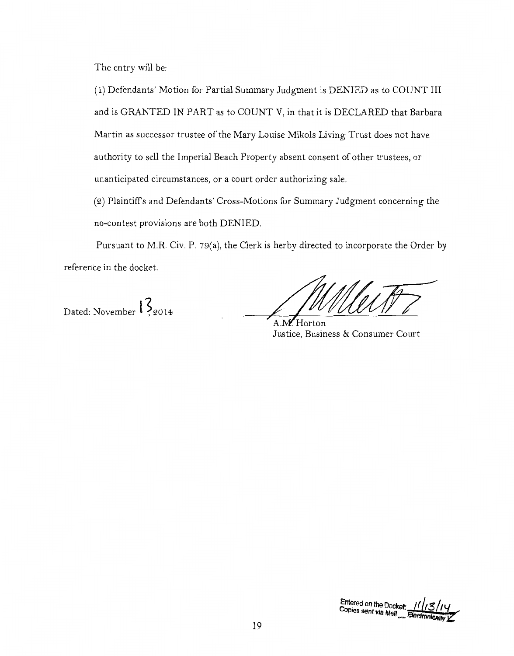The entry will be:

(1) Defendants' Motion for Partial Summary Judgment is DENIED as to COUNT III and is GRANTED IN PART as to COUNT V, in that it is DECLARED that Barbara Martin as successor trustee of the Mary Louise Mikols Living Trust does not have authority to sell the Imperial Beach Property absent consent of other trustees, or unanticipated circumstances, or a court order authorizing sale.

(2) Plaintiffs and Defendants' Cross-Motions for Summary Judgment concerning the no-contest provisions are both DENIED.

Pursuant to M.R. Civ. P. 79(a), the Clerk is herby directed to incorporate the Order by reference in the docket.

Dated: November  $1\overline{\cancel{3}}_{2014}$ 

 $A \mathbf{W}$  Horton Justice, Business & Consumer Court

Entered on the Docket: ////3<br>Copies sent via Mail \_\_ Electronic